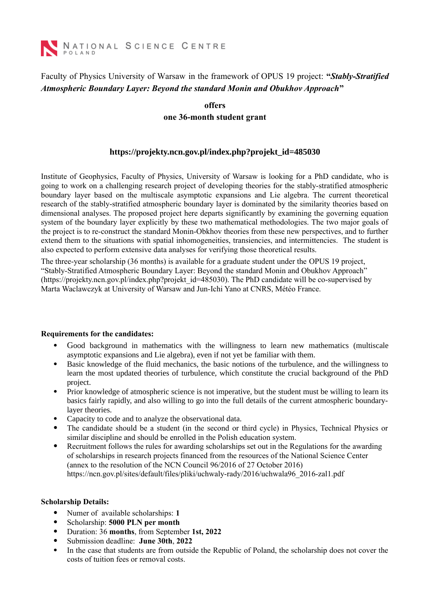

### Faculty of Physics University of Warsaw in the framework of OPUS 19 project: **"***Stably-Stratified Atmospheric Boundary Layer: Beyond the standard Monin and Obukhov Approach***"**

### **offers**

**one 36-month student grant**

### **https://projekty.ncn.gov.pl/index.php?projekt\_id=485030**

Institute of Geophysics, Faculty of Physics, University of Warsaw is looking for a PhD candidate, who is going to work on a challenging research project of developing theories for the stably-stratified atmospheric boundary layer based on the multiscale asymptotic expansions and Lie algebra. The current theoretical research of the stably-stratified atmospheric boundary layer is dominated by the similarity theories based on dimensional analyses. The proposed project here departs significantly by examining the governing equation system of the boundary layer explicitly by these two mathematical methodologies. The two major goals of the project is to re-construct the standard Monin-Obkhov theories from these new perspectives, and to further extend them to the situations with spatial inhomogeneities, transiencies, and intermittencies. The student is also expected to perform extensive data analyses for verifying those theoretical results.

The three-year scholarship (36 months) is available for a graduate student under the OPUS 19 project, "Stably-Stratified Atmospheric Boundary Layer: Beyond the standard Monin and Obukhov Approach" (https://projekty.ncn.gov.pl/index.php?projekt\_id=485030). The PhD candidate will be co-supervised by Marta Waclawczyk at University of Warsaw and Jun-Ichi Yano at CNRS, Météo France.

#### **Requirements for the candidates:**

- Good background in mathematics with the willingness to learn new mathematics (multiscale asymptotic expansions and Lie algebra), even if not yet be familiar with them.
- Basic knowledge of the fluid mechanics, the basic notions of the turbulence, and the willingness to learn the most updated theories of turbulence, which constitute the crucial background of the PhD project.
- Prior knowledge of atmospheric science is not imperative, but the student must be willing to learn its basics fairly rapidly, and also willing to go into the full details of the current atmospheric boundarylayer theories.
- Capacity to code and to analyze the observational data.
- The candidate should be a student (in the second or third cycle) in Physics, Technical Physics or similar discipline and should be enrolled in the Polish education system.
- Recruitment follows the rules for awarding scholarships set out in the Regulations for the awarding of scholarships in research projects financed from the resources of the National Science Center (annex to the resolution of the NCN Council 96/2016 of 27 October 2016) https://ncn.gov.pl/sites/default/files/pliki/uchwaly-rady/2016/uchwala96\_2016-zal1.pdf

#### **Scholarship Details:**

- Numer of available scholarships: **1**
- Scholarship: **5000 PLN per month**<br>• Duration: 36 **months**. from Septem
- Duration: 36 **months**, from September **1st, 2022**
- Submission deadline: **June 30th**, **2022**
- In the case that students are from outside the Republic of Poland, the scholarship does not cover the costs of tuition fees or removal costs.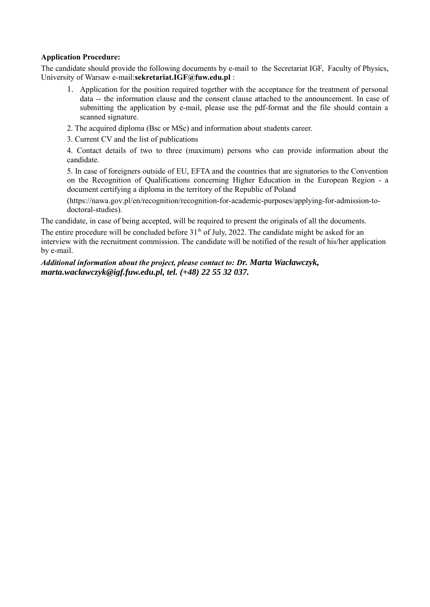#### **Application Procedure:**

The candidate should provide the following documents by e-mail to the Secretariat IGF, Faculty of Physics, University of Warsaw e-mail:**sekretariat.IGF@fuw.edu.pl** :

- 1. Application for the position required together with the acceptance for the treatment of personal data -- the information clause and the consent clause attached to the announcement. In case of submitting the application by e-mail, please use the pdf-format and the file should contain a scanned signature.
- 2. The acquired diploma (Bsc or MSc) and information about students career.
- 3. Current CV and the list of publications

4. Contact details of two to three (maximum) persons who can provide information about the candidate.

5. In case of foreigners outside of EU, EFTA and the countries that are signatories to the Convention on the Recognition of Qualifications concerning Higher Education in the European Region - a document certifying a diploma in the territory of the Republic of Poland

(https://nawa.gov.pl/en/recognition/recognition-for-academic-purposes/applying-for-admission-todoctoral-studies).

The candidate, in case of being accepted, will be required to present the originals of all the documents.

The entire procedure will be concluded before  $31<sup>th</sup>$  of July, 2022. The candidate might be asked for an interview with the recruitment commission. The candidate will be notified of the result of his/her application by e-mail.

*Additional information about the project, please contact to: Dr. Marta Wacławczyk, marta.waclawczyk@igf.fuw.edu.pl, tel. (+48) 22 55 32 037.*